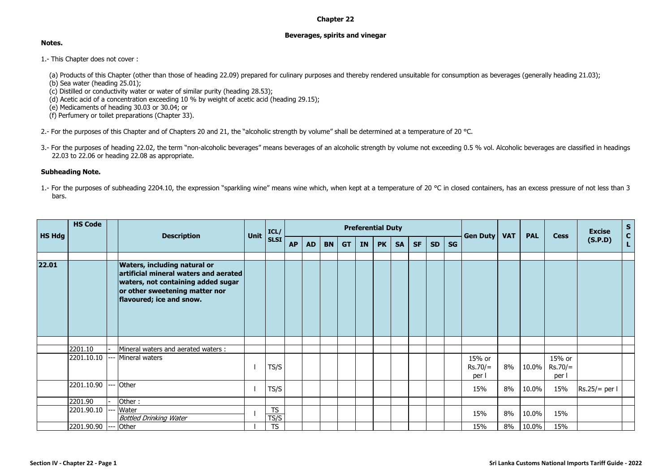## **Chapter 22**

## **Beverages, spirits and vinegar**

## **Notes.**

- 1.- This Chapter does not cover :
	- (a) Products of this Chapter (other than those of heading 22.09) prepared for culinary purposes and thereby rendered unsuitable for consumption as beverages (generally heading 21.03);
	- (b) Sea water (heading 25.01);
	- (c) Distilled or conductivity water or water of similar purity (heading 28.53);
	- (d) Acetic acid of a concentration exceeding 10 % by weight of acetic acid (heading 29.15);

(e) Medicaments of heading 30.03 or 30.04; or

- (f) Perfumery or toilet preparations (Chapter 33).
- 2.- For the purposes of this Chapter and of Chapters 20 and 21, the "alcoholic strength by volume" shall be determined at a temperature of 20 °C.
- 3.- For the purposes of heading 22.02, the term "non-alcoholic beverages" means beverages of an alcoholic strength by volume not exceeding 0.5 % vol. Alcoholic beverages are classified in headings 22.03 to 22.06 or heading 22.08 as appropriate.

## **Subheading Note.**

1.- For the purposes of subheading 2204.10, the expression "sparkling wine" means wine which, when kept at a temperature of 20 °C in closed containers, has an excess pressure of not less than 3 bars.

|               | <b>HS Code</b> |     | Unit<br><b>Description</b>                                                                                                                                                       | ICL/              |           |           |           |           | <b>Preferential Duty</b> |           |           |           |           |           |                              | <b>VAT</b> | <b>PAL</b> | <b>Cess</b>                  | <b>Excise</b>   | S<br>C<br>L |
|---------------|----------------|-----|----------------------------------------------------------------------------------------------------------------------------------------------------------------------------------|-------------------|-----------|-----------|-----------|-----------|--------------------------|-----------|-----------|-----------|-----------|-----------|------------------------------|------------|------------|------------------------------|-----------------|-------------|
| <b>HS Hdg</b> |                |     |                                                                                                                                                                                  | <b>SLSI</b>       | <b>AP</b> | <b>AD</b> | <b>BN</b> | <b>GT</b> | <b>IN</b>                | <b>PK</b> | <b>SA</b> | <b>SF</b> | <b>SD</b> | <b>SG</b> | Gen Duty                     |            |            |                              | (S.P.D)         |             |
| 22.01         |                |     | <b>Waters, including natural or</b><br>artificial mineral waters and aerated<br>waters, not containing added sugar<br>or other sweetening matter nor<br>flavoured; ice and snow. |                   |           |           |           |           |                          |           |           |           |           |           |                              |            |            |                              |                 |             |
|               |                |     |                                                                                                                                                                                  |                   |           |           |           |           |                          |           |           |           |           |           |                              |            |            |                              |                 |             |
|               | 2201.10        |     | Mineral waters and aerated waters:                                                                                                                                               |                   |           |           |           |           |                          |           |           |           |           |           |                              |            |            |                              |                 |             |
|               | 2201.10.10     |     | Mineral waters                                                                                                                                                                   | TS/S              |           |           |           |           |                          |           |           |           |           |           | 15% or<br>$Rs.70/=$<br>per l | 8%         | 10.0%      | 15% or<br>$Rs.70/=$<br>per l |                 |             |
|               | 2201.10.90     |     | Other                                                                                                                                                                            | TS/S              |           |           |           |           |                          |           |           |           |           |           | 15%                          | 8%         | 10.0%      | 15%                          | $Rs.25/=$ per l |             |
|               | 2201.90        |     | Other:                                                                                                                                                                           |                   |           |           |           |           |                          |           |           |           |           |           |                              |            |            |                              |                 |             |
|               | 2201.90.10     |     | Water<br><b>Bottled Drinking Water</b>                                                                                                                                           | <b>TS</b><br>TS/S |           |           |           |           |                          |           |           |           |           |           | 15%                          | 8%         | 10.0%      | 15%                          |                 |             |
|               | 2201.90.90     | --- | Other                                                                                                                                                                            | <b>TS</b>         |           |           |           |           |                          |           |           |           |           |           | 15%                          | 8%         | 10.0%      | 15%                          |                 |             |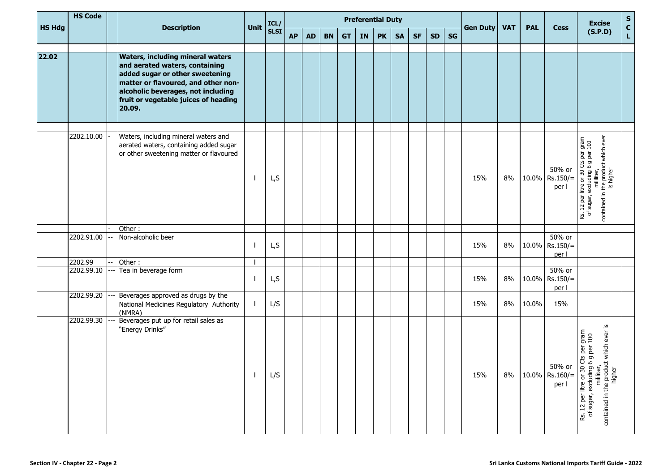| <b>HS Hdg</b> | <b>HS Code</b> | <b>Description</b>                                                                                                                                                                                                                          | Unit | ICL/        |           |           |           |           |    | <b>Preferential Duty</b> |           |           |           |           | Gen Duty | <b>VAT</b> | <b>PAL</b> | <b>Cess</b>                          | $\mathsf{s}$<br><b>Excise</b>                                                                                                                                               |
|---------------|----------------|---------------------------------------------------------------------------------------------------------------------------------------------------------------------------------------------------------------------------------------------|------|-------------|-----------|-----------|-----------|-----------|----|--------------------------|-----------|-----------|-----------|-----------|----------|------------|------------|--------------------------------------|-----------------------------------------------------------------------------------------------------------------------------------------------------------------------------|
|               |                |                                                                                                                                                                                                                                             |      | <b>SLSI</b> | <b>AP</b> | <b>AD</b> | <b>BN</b> | <b>GT</b> | IN | <b>PK</b>                | <b>SA</b> | <b>SF</b> | <b>SD</b> | <b>SG</b> |          |            |            |                                      | $\mathbf{c}$<br>(S.P.D)                                                                                                                                                     |
| 22.02         |                | <b>Waters, including mineral waters</b><br>and aerated waters, containing<br>added sugar or other sweetening<br>matter or flavoured, and other non-<br>alcoholic beverages, not including<br>fruit or vegetable juices of heading<br>20.09. |      |             |           |           |           |           |    |                          |           |           |           |           |          |            |            |                                      |                                                                                                                                                                             |
|               | 2202.10.00     | Waters, including mineral waters and<br>aerated waters, containing added sugar<br>or other sweetening matter or flavoured                                                                                                                   |      | L,S         |           |           |           |           |    |                          |           |           |           |           | 15%      | 8%         |            | 50% or<br>10.0% Rs.150/=<br>per l    | contained in the product which ever<br>Rs. 12 per litre or 30 Cts per gram<br>of sugar, excluding 6 g per 100<br>miliiter,                                                  |
|               | 2202.91.00     | Other:<br>Non-alcoholic beer                                                                                                                                                                                                                |      | L,S         |           |           |           |           |    |                          |           |           |           |           | 15%      | 8%         | 10.0%      | 50% or<br>$Rs.150/=$<br>per l        |                                                                                                                                                                             |
|               | 2202.99        | Other:                                                                                                                                                                                                                                      |      |             |           |           |           |           |    |                          |           |           |           |           |          |            |            |                                      |                                                                                                                                                                             |
|               | 2202.99.10     | Tea in beverage form                                                                                                                                                                                                                        |      | L,S         |           |           |           |           |    |                          |           |           |           |           | 15%      | 8%         | 10.0%      | 50% or<br>$Rs.150/=$<br>per l        |                                                                                                                                                                             |
|               | 2202.99.20     | Beverages approved as drugs by the<br>National Medicines Regulatory Authority<br>(NMRA)                                                                                                                                                     |      | L/S         |           |           |           |           |    |                          |           |           |           |           | 15%      | 8%         | 10.0%      | 15%                                  |                                                                                                                                                                             |
|               | 2202.99.30     | Beverages put up for retail sales as<br>"Energy Drinks"                                                                                                                                                                                     |      | L/S         |           |           |           |           |    |                          |           |           |           |           | 15%      | 8%         |            | 50% or<br>$10.0\%$ Rs.160/=<br>per l | <u>ِي</u><br>ss. 12 per litre or 30 Cts per gram<br>of sugar, excluding 6 g per 100<br>mililiter,<br>contained in the product which ever<br>higher<br>Rs. 12 per litre or 3 |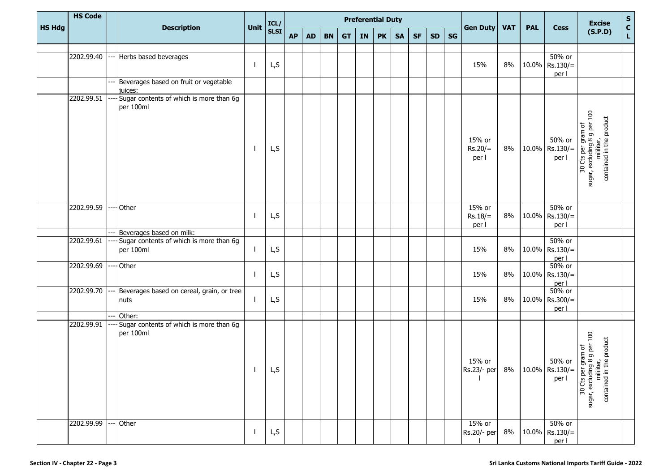|               | <b>HS Code</b> |                                                      |      | ICL/        |           |                                     |           |           | <b>Preferential Duty</b> |           |           |           |           |    |                                               |            |            |                                      | <b>Excise</b>                                                                               | S<br>C<br>L |
|---------------|----------------|------------------------------------------------------|------|-------------|-----------|-------------------------------------|-----------|-----------|--------------------------|-----------|-----------|-----------|-----------|----|-----------------------------------------------|------------|------------|--------------------------------------|---------------------------------------------------------------------------------------------|-------------|
| <b>HS Hdg</b> |                | <b>Description</b>                                   | Unit | <b>SLSI</b> | <b>AP</b> | $\boldsymbol{\mathsf{A}\mathsf{D}}$ | <b>BN</b> | <b>GT</b> | IN                       | <b>PK</b> | <b>SA</b> | <b>SF</b> | <b>SD</b> | SG | <b>Gen Duty</b>                               | <b>VAT</b> | <b>PAL</b> | <b>Cess</b>                          | (S.P.D)                                                                                     |             |
|               |                |                                                      |      |             |           |                                     |           |           |                          |           |           |           |           |    |                                               |            |            |                                      |                                                                                             |             |
|               | 2202.99.40     | Herbs based beverages                                |      | L, S        |           |                                     |           |           |                          |           |           |           |           |    | 15%                                           | 8%         |            | 50% or<br>$10.0\%$ Rs.130/=<br>per l |                                                                                             |             |
|               |                | Beverages based on fruit or vegetable<br>juices:     |      |             |           |                                     |           |           |                          |           |           |           |           |    |                                               |            |            |                                      |                                                                                             |             |
|               | 2202.99.51     | Sugar contents of which is more than 6g<br>per 100ml |      | L,S         |           |                                     |           |           |                          |           |           |           |           |    | 15% or<br>$Rs.20/=$<br>per l                  | 8%         |            | 50% or<br>$10.0\%$ Rs.130/=<br>per l | 30 Cts per gram of<br>sugar, excluding 8 g per 100<br>contained in the product              |             |
|               | 2202.99.59     | Other                                                |      | L,S         |           |                                     |           |           |                          |           |           |           |           |    | 15% or<br>$Rs.18/=$<br>per l                  | 8%         |            | 50% or<br>$10.0\%$ Rs.130/=<br>per l |                                                                                             |             |
|               |                | Beverages based on milk:                             |      |             |           |                                     |           |           |                          |           |           |           |           |    |                                               |            |            |                                      |                                                                                             |             |
|               | 2202.99.61     | Sugar contents of which is more than 6g<br>per 100ml |      | L,S         |           |                                     |           |           |                          |           |           |           |           |    | 15%                                           | 8%         |            | 50% or<br>$10.0\%$ Rs.130/=<br>per l |                                                                                             |             |
|               | 2202.99.69     | <b>Other</b>                                         |      | L,S         |           |                                     |           |           |                          |           |           |           |           |    | 15%                                           | 8%         |            | 50% or<br>10.0% Rs.130/=<br>per l    |                                                                                             |             |
|               | 2202.99.70     | Beverages based on cereal, grain, or tree<br>nuts    |      | L,S         |           |                                     |           |           |                          |           |           |           |           |    | 15%                                           | 8%         |            | 50% or<br>$10.0\%$ Rs.300/=<br>per l |                                                                                             |             |
|               |                | Other:                                               |      |             |           |                                     |           |           |                          |           |           |           |           |    |                                               |            |            |                                      |                                                                                             |             |
|               | 2202.99.91     | Sugar contents of which is more than 6g<br>per 100ml |      | L,S         |           |                                     |           |           |                          |           |           |           |           |    | 15% or<br>$ Rs.23/- per  8%  10.0%  Rs.130/=$ |            |            | 50% or<br>per l                      | 30 Cts per gram of<br>sugar, excluding 8 g per 100<br>milliter,<br>contained in the product |             |
|               | 2202.99.99     | Other                                                |      | L,S         |           |                                     |           |           |                          |           |           |           |           |    | 15% or<br>Rs.20/- per                         | 8%         |            | 50% or<br>10.0% Rs.130/=<br>per l    |                                                                                             |             |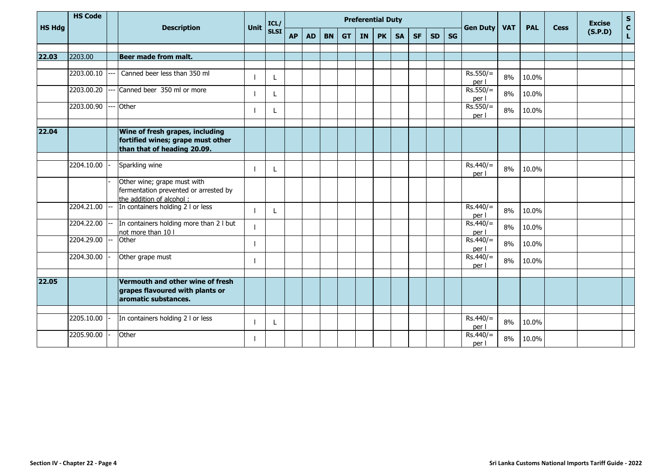| <b>HS Hdg</b> | <b>HS Code</b> | <b>Description</b> | <b>Unit</b>                                                                                         | ICL/ |             |           |           |           | <b>Preferential Duty</b> |           |           |           |           |           | <b>Gen Duty</b> | <b>VAT</b>          | <b>PAL</b> | <b>Cess</b> | <b>Excise</b> | $S_{C}$ |              |
|---------------|----------------|--------------------|-----------------------------------------------------------------------------------------------------|------|-------------|-----------|-----------|-----------|--------------------------|-----------|-----------|-----------|-----------|-----------|-----------------|---------------------|------------|-------------|---------------|---------|--------------|
|               |                |                    |                                                                                                     |      | <b>SLSI</b> | <b>AP</b> | <b>AD</b> | <b>BN</b> | <b>GT</b>                | <b>IN</b> | <b>PK</b> | <b>SA</b> | <b>SF</b> | <b>SD</b> | <b>SG</b>       |                     |            |             |               | (S.P.D) | $\mathsf{L}$ |
|               |                |                    |                                                                                                     |      |             |           |           |           |                          |           |           |           |           |           |                 |                     |            |             |               |         |              |
| 22.03         | 2203.00        |                    | <b>Beer made from malt.</b>                                                                         |      |             |           |           |           |                          |           |           |           |           |           |                 |                     |            |             |               |         |              |
|               | 2203.00.10     |                    | Canned beer less than 350 ml                                                                        |      |             |           |           |           |                          |           |           |           |           |           |                 | $Rs.550/=$<br>per l | 8%         | 10.0%       |               |         |              |
|               | 2203.00.20     |                    | Canned beer 350 ml or more                                                                          |      |             |           |           |           |                          |           |           |           |           |           |                 | $Rs.550/=$<br>per l | 8%         | 10.0%       |               |         |              |
|               | 2203.00.90     | <u>.</u>           | Other                                                                                               |      |             |           |           |           |                          |           |           |           |           |           |                 | $Rs.550/=$<br>per l | 8%         | 10.0%       |               |         |              |
| 22.04         |                |                    | Wine of fresh grapes, including<br>fortified wines; grape must other<br>than that of heading 20.09. |      |             |           |           |           |                          |           |           |           |           |           |                 |                     |            |             |               |         |              |
|               |                |                    |                                                                                                     |      |             |           |           |           |                          |           |           |           |           |           |                 |                     |            |             |               |         |              |
|               | 2204.10.00     |                    | Sparkling wine                                                                                      |      |             |           |           |           |                          |           |           |           |           |           |                 | $Rs.440/=$<br>per l | 8%         | 10.0%       |               |         |              |
|               |                |                    | Other wine; grape must with<br>fermentation prevented or arrested by<br>the addition of alcohol:    |      |             |           |           |           |                          |           |           |           |           |           |                 |                     |            |             |               |         |              |
|               | 2204.21.00     | --                 | In containers holding 2 I or less                                                                   |      |             |           |           |           |                          |           |           |           |           |           |                 | $Rs.440/=$<br>per l | 8%         | 10.0%       |               |         |              |
|               | 2204.22.00     |                    | In containers holding more than 2 I but<br>not more than 10 I                                       |      |             |           |           |           |                          |           |           |           |           |           |                 | $Rs.440/=$<br>per l | 8%         | 10.0%       |               |         |              |
|               | 2204.29.00     |                    | Other                                                                                               | L    |             |           |           |           |                          |           |           |           |           |           |                 | $Rs.440/=$<br>per l | 8%         | 10.0%       |               |         |              |
|               | 2204.30.00     |                    | Other grape must                                                                                    |      |             |           |           |           |                          |           |           |           |           |           |                 | $Rs.440/=$<br>per l | 8%         | 10.0%       |               |         |              |
|               |                |                    |                                                                                                     |      |             |           |           |           |                          |           |           |           |           |           |                 |                     |            |             |               |         |              |
| 22.05         |                |                    | Vermouth and other wine of fresh<br>grapes flavoured with plants or<br>aromatic substances.         |      |             |           |           |           |                          |           |           |           |           |           |                 |                     |            |             |               |         |              |
|               |                |                    |                                                                                                     |      |             |           |           |           |                          |           |           |           |           |           |                 |                     |            |             |               |         |              |
|               | 2205.10.00     |                    | In containers holding 2 I or less                                                                   |      |             |           |           |           |                          |           |           |           |           |           |                 | $Rs.440/=$<br>per l | 8%         | 10.0%       |               |         |              |
|               | 2205.90.00     |                    | Other                                                                                               |      |             |           |           |           |                          |           |           |           |           |           |                 | $Rs.440/=$<br>per l | 8%         | 10.0%       |               |         |              |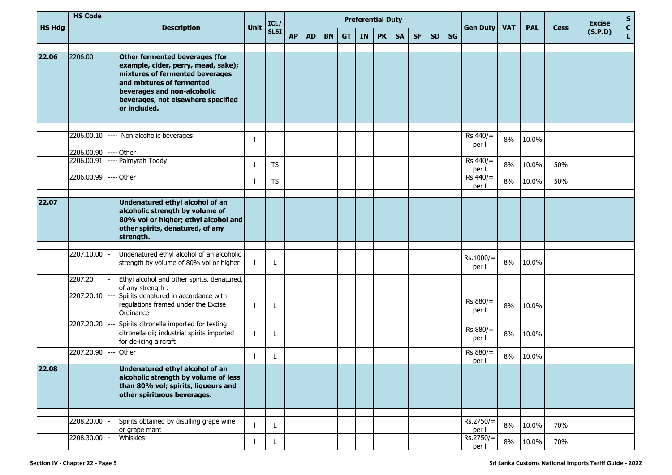| <b>HS Hdg</b> | <b>HS Code</b> |                    |                                                                                                                                                                                                                            | Unit        | ICL/      | <b>Preferential Duty</b><br><b>AP</b><br><b>BN</b><br><b>PK</b><br><b>SF</b><br><b>SD</b><br><b>AD</b><br><b>GT</b><br>IN<br><b>SA</b> |  |  |  |  |  |  |  |           |  | <b>Gen Duty</b>      | <b>VAT</b> | <b>PAL</b> | <b>Cess</b> | <b>Excise</b> | S<br>C<br>L |
|---------------|----------------|--------------------|----------------------------------------------------------------------------------------------------------------------------------------------------------------------------------------------------------------------------|-------------|-----------|----------------------------------------------------------------------------------------------------------------------------------------|--|--|--|--|--|--|--|-----------|--|----------------------|------------|------------|-------------|---------------|-------------|
|               |                | <b>Description</b> |                                                                                                                                                                                                                            | <b>SLSI</b> |           |                                                                                                                                        |  |  |  |  |  |  |  | <b>SG</b> |  |                      |            |            | (S.P.D)     |               |             |
| 22.06         | 2206.00        |                    | Other fermented beverages (for<br>example, cider, perry, mead, sake);<br>mixtures of fermented beverages<br>and mixtures of fermented<br>beverages and non-alcoholic<br>beverages, not elsewhere specified<br>or included. |             |           |                                                                                                                                        |  |  |  |  |  |  |  |           |  |                      |            |            |             |               |             |
|               | 2206.00.10     |                    | Non alcoholic beverages                                                                                                                                                                                                    |             |           |                                                                                                                                        |  |  |  |  |  |  |  |           |  | $Rs.440/=$<br>per l  | 8%         | 10.0%      |             |               |             |
|               | 2206.00.90     |                    | Other                                                                                                                                                                                                                      |             |           |                                                                                                                                        |  |  |  |  |  |  |  |           |  |                      |            |            |             |               |             |
|               | 2206.00.91     |                    | Palmyrah Toddy                                                                                                                                                                                                             |             | <b>TS</b> |                                                                                                                                        |  |  |  |  |  |  |  |           |  | $Rs.440/=$<br>per l  | 8%         | 10.0%      | 50%         |               |             |
|               | 2206.00.99     |                    | Other                                                                                                                                                                                                                      |             | <b>TS</b> |                                                                                                                                        |  |  |  |  |  |  |  |           |  | $Rs.440/=$<br>per l  | 8%         | 10.0%      | 50%         |               |             |
| 22.07         |                |                    | Undenatured ethyl alcohol of an<br>alcoholic strength by volume of<br>80% vol or higher; ethyl alcohol and<br>other spirits, denatured, of any<br>strength.                                                                |             |           |                                                                                                                                        |  |  |  |  |  |  |  |           |  |                      |            |            |             |               |             |
|               | 2207.10.00     |                    | Undenatured ethyl alcohol of an alcoholic<br>strength by volume of 80% vol or higher                                                                                                                                       |             |           |                                                                                                                                        |  |  |  |  |  |  |  |           |  | $Rs.1000/=$<br>per l | 8%         | 10.0%      |             |               |             |
|               | 2207.20        |                    | Ethyl alcohol and other spirits, denatured,<br>of any strength:                                                                                                                                                            |             |           |                                                                                                                                        |  |  |  |  |  |  |  |           |  |                      |            |            |             |               |             |
|               | 2207.20.10     |                    | Spirits denatured in accordance with<br>regulations framed under the Excise<br>Ordinance                                                                                                                                   |             |           |                                                                                                                                        |  |  |  |  |  |  |  |           |  | $Rs.880/=$<br>per I  | 8%         | 10.0%      |             |               |             |
|               | 2207.20.20     |                    | Spirits citronella imported for testing<br>citronella oil; industrial spirits imported<br>for de-icing aircraft                                                                                                            |             |           |                                                                                                                                        |  |  |  |  |  |  |  |           |  | $Rs.880/=$<br>per l  | 8%         | 10.0%      |             |               |             |
|               | 2207.20.90     |                    | Other                                                                                                                                                                                                                      |             |           |                                                                                                                                        |  |  |  |  |  |  |  |           |  | Rs.880/=<br>per l    | 8%         | 10.0%      |             |               |             |
| 22.08         |                |                    | Undenatured ethyl alcohol of an<br>alcoholic strength by volume of less<br>than 80% vol; spirits, liqueurs and<br>other spirituous beverages.                                                                              |             |           |                                                                                                                                        |  |  |  |  |  |  |  |           |  |                      |            |            |             |               |             |
|               | 2208.20.00     |                    | Spirits obtained by distilling grape wine<br>or grape marc                                                                                                                                                                 |             |           |                                                                                                                                        |  |  |  |  |  |  |  |           |  | $Rs.2750/=$<br>per I | 8%         | 10.0%      | 70%         |               |             |
|               | 2208.30.00     |                    | Whiskies                                                                                                                                                                                                                   |             |           |                                                                                                                                        |  |  |  |  |  |  |  |           |  | Rs.2750/=<br>per l   | 8%         | 10.0%      | 70%         |               |             |